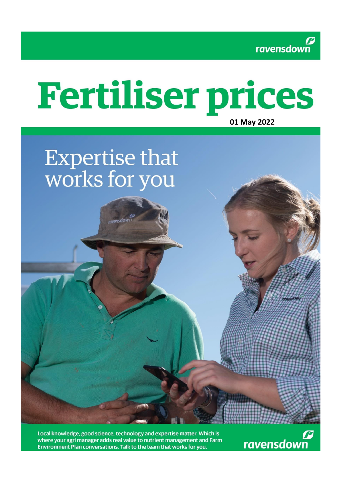

# **Fertiliser prices**

# **01 May 2022**

# **Expertise that** works for you

avensdowi

Local knowledge, good science, technology and expertise matter. Which is where your agri manager adds real value to nutrient management and Farm Environment Plan conversations. Talk to the team that works for you.

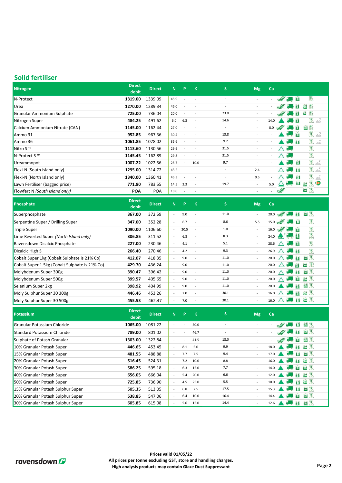#### **Solid fertiliser**

| Nitrogen                       | <b>Direct</b><br>debit | <b>Direct</b> | N.   | P                        | $\mathbf{K}$             | <sub>S</sub>             | <b>Mg</b>                | Ca                       |            |                            |                          |
|--------------------------------|------------------------|---------------|------|--------------------------|--------------------------|--------------------------|--------------------------|--------------------------|------------|----------------------------|--------------------------|
| N-Protect                      | 1319.00                | 1339.09       | 45.9 | $\sim$                   |                          | $\overline{\phantom{a}}$ | $\sim$                   | ٠                        |            | $\blacksquare$             | $\mathbb{R}$             |
| Urea                           | 1270.00                | 1289.34       | 46.0 | . .                      |                          | $\overline{\phantom{a}}$ |                          |                          |            |                            | 画眼                       |
| Granular Ammonium Sulphate     | 725.00                 | 736.04        | 20.0 | $\overline{\phantom{a}}$ |                          | 23.0                     | $\sim$                   |                          |            | B                          | $\boxed{20}$ $\boxed{9}$ |
| Nitrogen Super                 | 484.25                 | 491.62        | 6.0  | 6.3                      | $\overline{\phantom{a}}$ | 14.6                     | $\sim$                   | 14.0                     |            | B                          | $\mathbb{R}$<br>Ā        |
| Calcium Ammonium Nitrate (CAN) | 1145.00                | 1162.44       | 27.0 | . .                      |                          | $\overline{\phantom{a}}$ | $\sim$                   | 8.0                      | w          | îБ                         | 画图                       |
| Ammo 31                        | 952.85                 | 967.36        | 30.4 | $\sim$                   |                          | 13.8                     | $\sim$                   |                          |            |                            | Á<br>R                   |
| Ammo 36                        | 1061.85                | 1078.02       | 35.6 |                          |                          | 9.2                      | $\overline{\phantom{a}}$ | $\overline{\phantom{a}}$ |            | $\sim$ 13                  | $\mathbb{R}$<br>зś,      |
| Nitro S <sup>™</sup>           | 1113.60                | 1130.56       | 29.9 |                          |                          | 31.5                     | $\sim$                   | $\sim$                   |            | $\mathcal{L}_{\text{max}}$ | $\mathbb{R}$             |
| N-Protect S™                   | 1145.45                | 1162.89       | 29.8 | $\overline{\phantom{a}}$ |                          | 31.5                     | $\sim$                   | $\sim$                   | $\wedge$   | А.,                        | $\mathbb{R}$             |
| Ureammopot                     | 1007.22                | 1022.56       | 25.7 |                          | 10.0                     | 9.7                      | $\sim$                   | $\sim$                   |            | <b>ALL</b> B               | $\mathbb{R}$             |
| Flexi-N (South Island only)    | 1295.00                | 1314.72       | 43.2 | $\overline{\phantom{a}}$ | $\overline{\phantom{a}}$ | $\overline{\phantom{a}}$ | 2.4                      | $\sim$                   | $\sqrt{2}$ | $\sim$ $\sim$              | $\mathbb{R}$             |
| Flexi-N (North Island only)    | 1340.00                | 1360.41       | 45.3 | $\overline{\phantom{a}}$ | $\overline{\phantom{a}}$ | $\overline{\phantom{a}}$ | 0.5                      | $\sim$                   |            | 13                         | R                        |
| Lawn Fertiliser (bagged price) | 771.80                 | 783.55        | 14.5 | 2.3                      | $\overline{\phantom{a}}$ | 19.7                     | $\sim$                   | 5.0                      |            | B                          | $\mathbb{R}$<br>20       |
| Flowfert N (South Island only) | <b>POA</b>             | POA           | 18.0 | $\overline{\phantom{a}}$ | $\overline{\phantom{a}}$ | ٠                        | $\sim$                   | ٠                        | W          |                            | 国恩                       |

| Phosphate                                      | <b>Direct</b><br>debit | <b>Direct</b> | N.                       | <b>P</b> | $\mathsf K$              | S    | <b>Mg</b> | Ca                                                                     |
|------------------------------------------------|------------------------|---------------|--------------------------|----------|--------------------------|------|-----------|------------------------------------------------------------------------|
| Superphosphate                                 | 367.00                 | 372.59        | $\sim$                   | 9.0      | $\overline{\phantom{a}}$ | 11.0 | $\sim$    | $50$ $\frac{9}{20}$<br>W'<br>20.0<br>B                                 |
| Serpentine Super / Drilling Super              | 347.00                 | 352.28        | $\overline{\phantom{a}}$ | 6.7      |                          | 8.6  | 5.5       | R<br>$15.0 \text{ m}$<br>$\sim$ B                                      |
| <b>Triple Super</b>                            | 1090.00                | 1106.60       | $\sim$                   | 20.5     | $\overline{\phantom{a}}$ | 1.0  | $\sim$    | $\mathbb{R}$<br>$16.0 \text{ m}$<br>. <b>151</b>                       |
| Lime Reverted Super (North Island only)        | 306.85                 | 311.52        | $\sim$                   | 6.8      | $\overline{\phantom{a}}$ | 8.3  | $\sim$    | R<br>24.0 <b>A</b>                                                     |
| Ravensdown Dicalcic Phosphate                  | 227.00                 | 230.46        | $\sim$                   | 4.1      | $\overline{\phantom{a}}$ | 5.1  | $\sim$    | $\mathbb{R}$<br>$\wedge$ $\blacksquare$<br>28.6                        |
| Dicalcic High S                                | 266.40                 | 270.46        | $\sim$                   | 4.2      | $\overline{\phantom{a}}$ | 9.3  | $\sim$    | $\mathbb{R}$<br>26.9<br>$\triangle$ $\blacksquare$                     |
| Cobalt Super 1kg (Cobalt Sulphate is 21% Co)   | 412.07                 | 418.35        | $\sim$                   | 9.0      | $\overline{\phantom{a}}$ | 11.0 | $\sim$    | $\Xi$ $\mathbb{R}$<br>八 九 间<br>20.0                                    |
| Cobalt Super 1.5kg (Cobalt Sulphate is 21% Co) | 429.70                 | 436.24        | $\sim$                   | 9.0      | $\overline{\phantom{a}}$ | 11.0 | $\sim$    | $\overline{\omega}$ ) $\overline{\omega}$<br>$\triangle$<br>20.0<br>ñΤ |
| Molybdenum Super 300g                          | 390.47                 | 396.42        | $\sim$                   | 9.0      | $\overline{\phantom{a}}$ | 11.0 | $\sim$    | $\boxtimes$ $\mathbb{R}$<br><b>Company 19</b><br>20.0                  |
| Molybdenum Super 500g                          | 399.57                 | 405.65        | $\sim$                   | 9.0      | $\overline{\phantom{a}}$ | 11.0 | $\sim$    | $\Xi$ <sup>13</sup><br>1B)<br>20.0                                     |
| Selenium Super 2kg                             | 398.92                 | 404.99        | $\sim$                   | 9.0      | $\overline{\phantom{a}}$ | 11.0 | $\sim$    | $E_2$ $ 3\rangle$<br>TE 1<br>20.0                                      |
| Moly Sulphur Super 30 300g                     | 446.46                 | 453.26        | $\sim$                   | 7.0      | $\overline{\phantom{a}}$ | 30.1 | $\sim$    | $\boxdot$ ) $\approx$<br>m<br>16.0                                     |
| Moly Sulphur Super 30 500g                     | 455.53                 | 462.47        | $\sim$                   | 7.0      | $\overline{\phantom{a}}$ | 30.1 | $\sim$    | $20^{18}$<br>fs.<br>16.0<br>$\sqrt{2}$                                 |

| Potassium                          | <b>Direct</b><br>debit | <b>Direct</b> | N.                       | P.                       | к    | S.   | <b>Mg</b> | Ca   |                                                                                                                                                                                                                                                                                                                                                                                                                                                     |
|------------------------------------|------------------------|---------------|--------------------------|--------------------------|------|------|-----------|------|-----------------------------------------------------------------------------------------------------------------------------------------------------------------------------------------------------------------------------------------------------------------------------------------------------------------------------------------------------------------------------------------------------------------------------------------------------|
| Granular Potassium Chloride        | 1065.00                | 1081.22       |                          | $\overline{\phantom{a}}$ | 50.0 |      |           |      | $20^{18}$<br>в                                                                                                                                                                                                                                                                                                                                                                                                                                      |
| <b>Standard Potassium Chloride</b> | 789.00                 | 801.02        | $\overline{\phantom{a}}$ | $\overline{\phantom{a}}$ | 46.7 |      |           |      | $\mathbb{E}[\mathbb{E}[\mathbb{E}[\mathbb{E}[\mathbb{E}[\mathbb{E}[\mathbb{E}[\mathbb{E}[\mathbb{E}[\mathbb{E}[\mathbb{E}[\mathbb{E}[\mathbb{E}[\mathbb{E}[\mathbb{E}[\mathbb{E}[\mathbb{E}[\mathbb{E}[\mathbb{E}[\mathbb{E}[\mathbb{E}[\mathbb{E}[\mathbb{E}[\mathbb{E}[\mathbb{E}[\mathbb{E}[\mathbb{E}[\mathbb{E}[\mathbb{E}[\mathbb{E}[\mathbb{E}[\mathbb{E}[\mathbb{E}[\mathbb{E}[\mathbb{E}[\mathbb{E}[\mathbb{$<br><b>B</b>                  |
| Sulphate of Potash Granular        | 1303.00                | 1322.84       |                          |                          | 41.5 | 18.0 |           |      | $\mathbb{E}[\mathbb{E}[\mathbb{E}[\mathbb{E}[\mathbb{E}[\mathbb{E}[\mathbb{E}[\mathbb{E}[\mathbb{E}[\mathbb{E}[\mathbb{E}[\mathbb{E}[\mathbb{E}[\mathbb{E}[\mathbb{E}[\mathbb{E}[\mathbb{E}[\mathbb{E}[\mathbb{E}[\mathbb{E}[\mathbb{E}[\mathbb{E}[\mathbb{E}[\mathbb{E}[\mathbb{E}[\mathbb{E}[\mathbb{E}[\mathbb{E}[\mathbb{E}[\mathbb{E}[\mathbb{E}[\mathbb{E}[\mathbb{E}[\mathbb{E}[\mathbb{E}[\mathbb{E}[\mathbb{$<br>$\mathscr{M}$<br><b>B</b> |
| 10% Granular Potash Super          | 446.65                 | 453.45        | $\sim$                   | 8.1                      | 5.0  | 9.9  | $\sim$    | 18.0 | $\boxdot$ ) $\approx$                                                                                                                                                                                                                                                                                                                                                                                                                               |
| 15% Granular Potash Super          | 481.55                 | 488.88        | $\sim$                   | 7.7                      | 7.5  | 9.4  | $\sim$    |      | $\Xi$ $\Xi$<br>m<br>$17.0$ $\bigcirc$ $\bigcirc$                                                                                                                                                                                                                                                                                                                                                                                                    |
| 20% Granular Potash Super          | 516.45                 | 524.31        | $\sim$                   | 7.2                      | 10.0 | 8.8  | $\sim$    |      | $13 \times 120$<br>16.0                                                                                                                                                                                                                                                                                                                                                                                                                             |
| 30% Granular Potash Super          | 586.25                 | 595.18        | $\sim$                   | 6.3                      | 15.0 | 7.7  | $\sim$    |      | 14.0 ● ● 百 函 取                                                                                                                                                                                                                                                                                                                                                                                                                                      |
| 40% Granular Potash Super          | 656.05                 | 666.04        | $\sim$                   | 5.4                      | 20.0 | 6.6  | $\sim$    |      | 50 <sup>8</sup><br>$12.0$ $\bullet$ $\bullet$<br>n i                                                                                                                                                                                                                                                                                                                                                                                                |
| 50% Granular Potash Super          | 725.85                 | 736.90        | $\sim$                   | 4.5                      | 25.0 | 5.5  | $\sim$    | 10.0 | $\mathbb{E}[\mathbb{D}^2]$<br>6 T                                                                                                                                                                                                                                                                                                                                                                                                                   |
| 15% Granular Potash Sulphur Super  | 505.35                 | 513.05        | $\sim$                   | 6.8                      | 7.5  | 17.5 | $\sim$    |      | $20$ $\frac{9}{2}$<br>$15.3$ $\qquad \qquad \blacksquare$<br>TЕ                                                                                                                                                                                                                                                                                                                                                                                     |
| 20% Granular Potash Sulphur Super  | 538.85                 | 547.06        | $\sim$                   | 6.4                      | 10.0 | 16.4 | $\sim$    | 14.4 | $\infty$ ) $\approx$<br>B                                                                                                                                                                                                                                                                                                                                                                                                                           |
| 30% Granular Potash Sulphur Super  | 605.85                 | 615.08        | $\sim$                   | 5.6                      | 15.0 | 14.4 | $\sim$    | 12.6 | $\approx$ $\frac{8}{3}$                                                                                                                                                                                                                                                                                                                                                                                                                             |

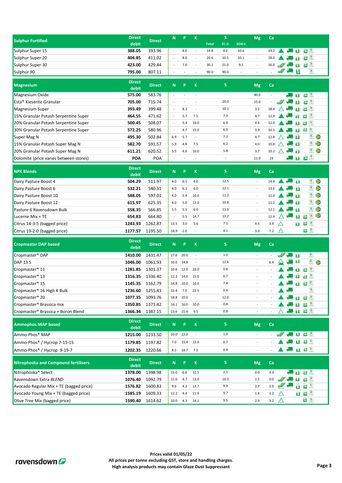|                                                 | <b>Direct</b>          |                  |                          |           |                          |              | S.              |         |                          |          |                         |        |              |                              |                       |
|-------------------------------------------------|------------------------|------------------|--------------------------|-----------|--------------------------|--------------|-----------------|---------|--------------------------|----------|-------------------------|--------|--------------|------------------------------|-----------------------|
| <b>Sulphur Fortified</b>                        | debit                  | <b>Direct</b>    | N                        | P         | K                        | <b>Total</b> | El.-S           | $SO4-S$ | <b>Mg</b>                | Ca       |                         |        |              |                              |                       |
| Sulphur Super 15                                | 388.05                 | 393.96           | $\omega$                 | 8.6       | $\omega$                 | 14.8         | 4.2             | 10.6    | $\omega$                 | 19.2     |                         |        | Ħ            | 國民                           |                       |
| Sulphur Super 20                                | 404.85                 | 411.02           | ÷,                       | 8.0       | $\overline{\phantom{a}}$ | 20.6         | 10.5            | 10.1    | ÷,                       | 18.0     |                         |        | Ħ            | 画訳                           |                       |
| Sulphur Super 30                                | 423.00                 | 429.44           | ÷,                       | 7.0       | $\overline{\phantom{a}}$ | 30.1         | 21.0            | 9.1     | $\omega$                 | 16.0     | w''                     |        | Œ            | 四段                           |                       |
| Sulphur 90                                      | 795.00                 | 807.11           | $\overline{\phantom{a}}$ |           |                          | 90.0         | 90.0            |         |                          |          |                         | W ST B |              | $\mathbb{R}$                 |                       |
|                                                 |                        |                  |                          |           |                          |              |                 |         |                          |          |                         |        |              |                              |                       |
| <b>Magnesium</b>                                | <b>Direct</b><br>debit | <b>Direct</b>    | N                        | P         | $\mathbf K$              |              | S.              |         | <b>Mg</b>                | Ca       |                         |        |              |                              |                       |
| Magnesium Oxide                                 | 575.00                 | 583.76           | $\Box$                   |           | $\overline{\phantom{a}}$ |              | $\blacksquare$  |         | 40.0                     | ÷.       |                         |        | 佰            | $\Xi$ <sup>8</sup>           |                       |
| Esta <sup>®</sup> Kieserite Granular            | 705.00                 | 715.74           | $\omega$                 | L,        | $\sim$                   |              | 20.0            |         | 15.0                     | ä,       | $w\llap{$\mathscr{C}$}$ |        | E            | 画訳                           |                       |
| Magnesium Super                                 | 393.49                 | 399.48           | $\blacksquare$           | 8.3       | $\bar{\phantom{a}}$      |              | 10.1            |         | 3.2                      | 18.4     |                         |        |              | $\Xi$ <sup>3</sup>           |                       |
| 15% Granular Potash Serpentine Super            | 464.55                 | 471.62           | $\overline{\phantom{a}}$ | 5.7       | 7.5                      |              | 7.3             |         | 4.7                      | 12.8     |                         |        |              | 画訳                           |                       |
| 20% Granular Potash Serpentine Super            | 500.45                 | 508.07           | $\overline{\phantom{a}}$ | 5.4       | 10.0                     |              | 6.9             |         | 4.4                      | 12.0     |                         |        |              | $\mathbb{R}$<br>20           |                       |
| 30% Granular Potash Serpentine Super            | 572.25                 | 580.96           | $\overline{\phantom{a}}$ | 4.7       | 15.0                     |              | 6.0             |         | 3.9                      | 10.5     |                         |        | Ħ            | 四段                           |                       |
| Super Mag N                                     | 495.30                 | 502.84           | 6.9                      | 5.7       | $\bar{\phantom{a}}$      |              | 7.3             |         | 4.7                      | 12.8     |                         |        | т            | $\mathbb{R}$                 |                       |
| 15% Granular Potash Super Mag N                 | 582.70                 | 591.57           | 5.9                      | 4.8       | 7.5                      |              | 6.2             |         | 4.0                      | 10.8     |                         |        | в            | $\mathbb{R}$                 | $\blacktriangleright$ |
| 20% Granular Potash Super Mag N                 | 611.21                 | 620.52           | 5.5                      | 4.6       | 10.0                     |              | 5.8             |         | 3.7                      | 10.2     |                         |        | Ħ            | RIC                          |                       |
| Dolomite (price varies between stores)          | POA                    | POA              | $\blacksquare$           |           |                          |              | $\blacksquare$  |         | 11.0                     | 23       |                         |        | Ħ            | $E^{3}$                      |                       |
| <b>NPK Blends</b>                               | <b>Direct</b>          | <b>Direct</b>    | ${\bf N}$                | P         | $\mathbf K$              |              | S.              |         | <b>Mg</b>                | Ca       |                         |        |              |                              |                       |
| Dairy Pasture Boost 4                           | debit<br>504.29        | 511.97           | 4.0                      | 6.5       | 4.0                      |              | 12.5            |         | $\sim$                   | 14.4     |                         |        | Ħ            | $\mathbb{R}$                 |                       |
|                                                 | 532.21                 | 540.31           |                          | 6.1       | 6.0                      |              | 12.1            |         | $\omega$                 | 13.6     |                         |        | Ħ            | $\mathbb{R}$                 |                       |
| Dairy Pasture Boost 6<br>Dairy Pasture Boost 10 |                        |                  | 4.0<br>4.0               | 5.4       | 10.0                     |              | 11.2            |         | $\omega$                 | 12.0     |                         |        | Ħ            | $\mathbb{R}$                 | $\triangleright$      |
| Dairy Pasture Boost 12                          | 588.05<br>615.97       | 597.01<br>625.35 | 4.0                      | 5.0       | 12.0                     |              | 10.8            |         | $\overline{\phantom{a}}$ | 11.2     |                         |        | Œ            | $\mathbb{R}$                 | $\triangleright$      |
| Pasture 6 Ravensdown Bulk                       | 558.35                 | 566.85           | 5.5                      | 5.5       | 6.0                      |              | 13.0            |         |                          | 12.1     |                         |        | ធ            | $\mathbb{R}$                 | $\triangleright$      |
| Lucerne Mix + TE                                | 654.83                 | 664.80           | $\bar{a}$                | 5.5       | 14.7                     |              | 13.2            |         | $\bar{\phantom{a}}$      | 12.4     |                         |        | $\mathbf{H}$ | $\mathbb{R}$<br>$\mathbf{z}$ | $\blacktriangleright$ |
| Citrus 14-3-5 (bagged price)                    | 1243.93                | 1262.87          | 13.5                     | 3.0       | 5.6                      |              | 7.1             |         | 4.5                      | 3.4      | Δ                       |        | 画            | 四 18                         |                       |
| Citrus 19-2-0 (bagged price)                    | 1177.57                | 1195.50          | 18.9                     | 2.0       | $\sim$                   |              | 4.1             |         | 3.0                      | 7.2      | $\triangle$             |        |              | 西段                           |                       |
|                                                 |                        |                  |                          |           |                          |              |                 |         |                          |          |                         |        |              |                              |                       |
| <b>Cropmaster DAP based</b>                     | <b>Direct</b><br>debit | <b>Direct</b>    | N                        | P         | $\mathbf K$              |              | S.              |         | <b>Mg</b>                | Ca       |                         |        |              |                              |                       |
| Cropmaster <sup>®</sup> DAP                     | 1410.00                | 1431.47          | 17.6                     | 20.0      | $\mathcal{L}$            |              | 1.0             |         | ÷.                       |          |                         |        | 商            | $\mathbb{R}$                 |                       |
| <b>DAP 13 S</b>                                 | 1046.00                | 1061.93          | 10.6                     | 14.8      | $\sim$                   |              | 12.6            |         | $\overline{\phantom{a}}$ | 6.4      |                         |        | B            | $\mathbb{R}$                 | $\bullet$             |
| Cropmaster <sup>®</sup> 11                      | 1281.85                | 1301.37          | 10.6                     | 12.0      | 20.0                     |              | 0.6             |         |                          |          |                         |        |              | 四段                           |                       |
| Cropmaster® 13                                  | 1316.35                | 1336.40          | 12.3                     | 14.0      | 15.0                     |              | 0.7             |         |                          |          |                         |        |              | 西訳                           |                       |
| Cropmaster <sup>®</sup> 15                      | 1145.35                | 1162.79          | 14.8                     | 10.0      | 10.0                     |              | 7.4             |         |                          |          |                         |        | Œ            | 画取                           |                       |
| Cropmaster <sup>®</sup> 16 High K Bulk          | 1236.60                | 1255.43          | 15.4                     | 7.0       | 22.5                     |              | 0.4             |         | $\overline{\phantom{a}}$ |          |                         |        |              | $\mathbb{R}$                 |                       |
| Cropmaster <sup>®</sup> 20                      | 1077.35                | 1093.76          | 18.8                     | 10.0      | $\overline{\phantom{a}}$ |              | 12.0            |         | $\blacksquare$           |          |                         |        | Ħ            | 西服                           |                       |
| Cropmaster <sup>®</sup> Brassica mix            | 1350.85                | 1371.42          | 14.1                     | 16.0      | 10.0                     |              | 0.8             |         | $\blacksquare$           |          |                         |        | B            | $\approx$ $\mathbb{R}$       |                       |
| Cropmaster <sup>®</sup> Brassica + Boron Blend  | 1366.34                | 1387.15          |                          | 13.6 15.4 | 9.5                      |              | 0.8             |         | $\sim$                   | $\equiv$ | Δ                       |        |              | ( 日西限                        |                       |
|                                                 | <b>Direct</b>          |                  |                          |           |                          |              |                 |         |                          |          |                         |        |              |                              |                       |
| <b>Ammophos MAP based</b>                       | debit                  | <b>Direct</b>    | ${\bf N}$                | P         | $\mathbf K$              |              | S.              |         | <b>Mg</b>                | Ca       |                         |        |              |                              |                       |
| Ammo-Phos <sup>®</sup> MAP                      | 1215.00                | 1233.50          | 10.0                     | 22.0      | $\ddot{\phantom{1}}$     |              | 1.0             |         | $\sim$                   | $\sim$   |                         |        |              | <b>B</b> 20 R                |                       |
| Ammo-Phos® / Hycrop 7-15-15                     | 1179.85                | 1197.82          | 7.0                      | 15.4      | 15.0                     |              | 0.7             |         | $\blacksquare$           |          |                         |        |              | 国西限                          |                       |
| Ammo-Phos <sup>®</sup> / Hycrop 9-19-7          | 1202.35                | 1220.66          | 8.5                      | 18.7      | 7.5                      |              | 0.9             |         | $\overline{\phantom{a}}$ |          |                         |        |              | 国画限                          |                       |
|                                                 | <b>Direct</b>          |                  |                          |           |                          |              |                 |         |                          |          |                         |        |              |                              |                       |
| <b>Nitrophoska and Compound fertilisers</b>     | debit                  | <b>Direct</b>    | ${\bf N}$                | P         | $\,$ K                   |              | $S_{\parallel}$ |         | Mg                       | Ca       |                         |        |              |                              |                       |
| Nitrophoska <sup>®</sup> Select                 | 1378.00                | 1398.98          | 15.0                     | 6.6       | 12.5                     |              | 2.5             |         | 0.0                      | 3.3      |                         |        |              | 国西限                          |                       |
| Ravensdown Extra BLEND                          | 1076.40                | 1092.79          | 11.6                     | 4.7       | 13.0                     |              | 16.0            |         | $1.1$                    | 0.0      | $\sqrt{ }$              |        | B            | $\Box$ $\Box$                |                       |
| Avocado Regular Mix + TE (bagged price)         | 1576.82                | 1600.83          | 9.6                      | 4.2       | 13.7                     |              | 9.9             |         | 2.7                      | 3.0      | W                       |        | õ            | 画眼                           |                       |
| Avocado Young Mix + TE (bagged price)           | 1585.19                | 1609.33          | 12.2                     | 4.4       | 11.9                     |              | 9.7             |         | 1.4                      | 3.2      | Δ                       |        |              | 国画限                          |                       |
| Olive Tree Mix (bagged price)                   | 1590.40 1614.62        |                  | 10.0                     |           | 4.3 14.1                 |              | 9.5             |         | 2.3                      | 3.2      | $\triangle$             |        |              | $\boxed{50}$ $\boxed{8}$     |                       |

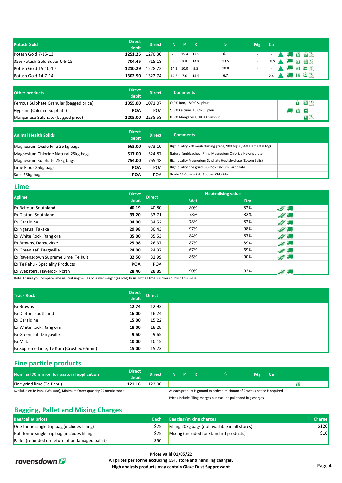| <b>Potash Gold</b>           | <b>Direct</b><br>debit | <b>Direct</b> |        | $N$ $P$ $K$ |      |      | <b>Mg</b>               | Ca              |                                |
|------------------------------|------------------------|---------------|--------|-------------|------|------|-------------------------|-----------------|--------------------------------|
| Potash Gold 7-15-13          | 1251.25                | 1270.30       | 7.0    | 15.4 12.5   |      | 6.1  | $\sim 100$ km s $^{-1}$ | $\sim 10^{-11}$ | <b>A A B E</b>                 |
| 35% Potash Gold Super 0-6-15 | 704.45                 | 715.18        | $\sim$ | 5.9         | 14.5 | 13.5 | $\sim$                  |                 | ● 8 20 %<br>$13.0$ $\triangle$ |
| Potash Gold 15-10-10         | 1210.29                | 1228.72       | 14.2   | 10.0        | 9.5  | 10.8 |                         |                 | <b>A Co B E E</b> R            |
| Potash Gold 14-7-14          | 1302.90                | 1322.74       | 14.3   | 7.0         | 14.5 | 6.7  |                         | 2.4             | 520                            |

| Other products                           | Direct<br>debit | <b>Direct</b> | <b>Comments</b>                |     |
|------------------------------------------|-----------------|---------------|--------------------------------|-----|
| Ferrous Sulphate Granular (bagged price) | 1055.00         | 1071.07       | 30.0% Iron, 18.0% Sulphur      | 国西恩 |
| Gypsum (Calcium Sulphate)                | POA             | <b>POA</b>    | 23.3% Calcium, 18.0% Sulphur   |     |
| Manganese Sulphate (bagged price)        | 2205.00         | 2238.58       | 31.9% Manganese, 18.9% Sulphur |     |

| <b>Animal Health Solids</b>          | <b>Direct</b><br>debit | <b>Direct</b> | <b>Comments</b>                                                |  |
|--------------------------------------|------------------------|---------------|----------------------------------------------------------------|--|
| Magnesium Oxide Fine 25 kg bags      | 663.00                 | 673.10        | High quality 200 mesh dusting grade, 90%MgO (54% Elemental Mg) |  |
| Magnesium Chloride Natural 25kg bags | 517.00                 | 524.87        | Natural (unbleached) Prills, Magnesium Chloride Hexahydrate.   |  |
| Magnesium Sulphate 25kg bags         | 754.00                 | 765.48        | High quality Magnesium Sulphate Heptahydrate (Epsom Salts)     |  |
| Lime Flour 25kg bags                 | <b>POA</b>             | <b>POA</b>    | High quality fine grind. 90-95% Calcium Carbonate              |  |
| Salt 25kg bags                       | <b>POA</b>             | POA           | Grade 22 Coarse Salt, Sodium Chloride                          |  |

#### **Lime**

| <b>Aglime</b>                        | <b>Direct</b> | <b>Direct</b> | <b>Neutralising value</b> |            |                  |  |  |  |
|--------------------------------------|---------------|---------------|---------------------------|------------|------------------|--|--|--|
|                                      | debit         |               | Wet                       | <b>Dry</b> |                  |  |  |  |
| Ex Balfour, Southland                | 40.19         | 40.80         | 80%                       | 82%        | <b>IN OFFICE</b> |  |  |  |
| Ex Dipton, Southland                 | 33.20         | 33.71         | 78%                       | 82%        | W Say            |  |  |  |
| <b>Ex Geraldine</b>                  | 34.00         | 34.52         | 78%                       | 82%        | <b>W</b>         |  |  |  |
| Ex Ngarua, Takaka                    | 29.98         | 30.43         | 97%                       | 98%        | <b>IN OFFICE</b> |  |  |  |
| Ex White Rock, Rangiora              | 35.00         | 35.53         | 84%                       | 87%        | W Sam            |  |  |  |
| Ex Browns, Dannevirke                | 25.98         | 26.37         | 87%                       | 89%        | <b>We draw</b>   |  |  |  |
| <b>Ex Greenleaf, Dargaville</b>      | 24.00         | 24.37         | 67%                       | 69%        | W Only           |  |  |  |
| Ex Ravensdown Supreme Lime, Te Kuiti | 32.50         | 32.99         | 86%                       | 90%        | $\frac{1}{2}$    |  |  |  |
| Ex Te Pahu - Speciality Products     | <b>POA</b>    | <b>POA</b>    |                           |            |                  |  |  |  |
| Ex Websters, Havelock North          | 28.46         | 28.89         | 90%                       | 92%        | W                |  |  |  |
|                                      |               |               |                           |            |                  |  |  |  |

Note: Ensure you compare lime neutralising values on a wet weight (as sold) basis. Not all lime suppliers publish this value.

| <b>Track Rock</b>                        | <b>Direct</b><br>debit | <b>Direct</b> |
|------------------------------------------|------------------------|---------------|
| <b>Ex Browns</b>                         | 12.74                  | 12.93         |
| <b>Ex Dipton, southland</b>              | 16.00                  | 16.24         |
| <b>Ex Geraldine</b>                      | 15.00                  | 15.22         |
| <b>Ex White Rock, Rangiora</b>           | 18.00                  | 18.28         |
| <b>Ex Greenleaf, Dargaville</b>          | 9.50                   | 9.65          |
| <b>Ex Mata</b>                           | 10.00                  | 10.15         |
| Ex Supreme Lime, Te Kuiti (Crushed 65mm) | 15.00                  | 15.23         |

#### **Fine particle products**

| Nominal 70 micron for pastoral application                             | <b>Direct</b><br>debit. | <b>Direct</b> | $N$ $P$ |                                                                            | Mg | <b>Ca</b> |
|------------------------------------------------------------------------|-------------------------|---------------|---------|----------------------------------------------------------------------------|----|-----------|
| Fine grind lime (Te Pahu)                                              | 121.16                  | 123.00        |         |                                                                            |    |           |
| Available ex Te Pahu (Waikato), Minimum Order quantity 20 metric tonne |                         |               |         | As each product is ground to order a minimum of 2 weeks notice is required |    |           |

Prices include filling charges but exclude pallet and bag charges

#### **Bagging, Pallet and Mixing Charges**

| <b>Bag/pallet prices</b>                        | Each a | <b>Bagging/mixing charges</b>                   | <b>Charge</b> |
|-------------------------------------------------|--------|-------------------------------------------------|---------------|
| One tonne single trip bag (includes filling)    | \$25   | Filling 20kg bags (not available in all stores) | \$120         |
| Half tonne single trip bag (includes filling)   | \$25   | Mixing (included for standard products)         | \$10          |
| Pallet (refunded on return of undamaged pallet) | \$50   |                                                 |               |



**Prices valid 01/05/22 All prices per tonne excluding GST, store and handling charges. High analysis products may contain Glaze Dust Suppressant Page 4**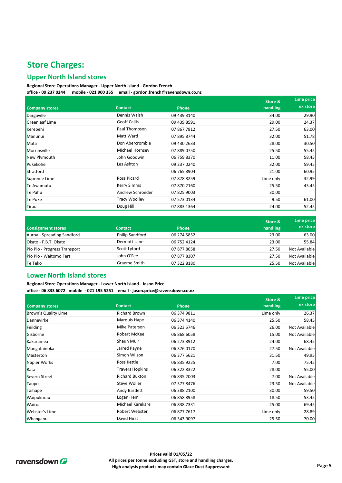### **Store Charges:**

#### **Upper North Island stores**

#### **Regional Store Operations Manager - Upper North Island - Gordon French office - 09 237 0244 mobile - 021 900 355 email - gordon.french@ravensdown.co.nz**

|                       |                      |              | <b>Store &amp;</b> | Lime price |
|-----------------------|----------------------|--------------|--------------------|------------|
| <b>Company stores</b> | <b>Contact</b>       | <b>Phone</b> | handling           | ex store   |
| Dargaville            | Dennis Walsh         | 09 439 3140  | 34.00              | 29.90      |
| <b>Greenleaf Lime</b> | <b>Geoff Callis</b>  | 09 439 8591  | 29.00              | 24.37      |
| Kerepehi              | Paul Thompson        | 07 867 7812  | 27.50              | 63.00      |
| Manunui               | Matt Ward            | 07 895 8744  | 32.00              | 51.78      |
| Mata                  | Don Abercrombie      | 09 430 2633  | 28.00              | 30.50      |
| Morrinsville          | Michael Hornsey      | 07 889 0750  | 25.50              | 55.45      |
| New Plymouth          | John Goodwin         | 06 759 8370  | 11.00              | 58.45      |
| Pukekohe              | Les Ashton           | 09 237 0240  | 32.00              | 59.45      |
| Stratford             |                      | 06 765 8904  | 21.00              | 60.95      |
| Supreme Lime          | <b>Ross Picard</b>   | 07 878 8259  | Lime only          | 32.99      |
| Te Awamutu            | <b>Kerry Simms</b>   | 07 870 2160  | 25.50              | 43.45      |
| Te Pahu               | Andrew Schroeder     | 07 825 9003  | 30.00              |            |
| Te Puke               | <b>Tracy Woolley</b> | 07 573 0134  | 9.50               | 61.00      |
| Tirau                 | Doug Hill            | 07 883 1364  | 24.00              | 52.45      |

| <b>Consignment stores</b>    | <b>Contact</b>         | <b>Phone</b> | Store &<br>handling | Lime price<br>ex store |
|------------------------------|------------------------|--------------|---------------------|------------------------|
| Auroa - Spreading Sandford   | <b>Philip Sandford</b> | 06 274 5852  | 23.00               | 63.00                  |
| Okato - F.B.T. Okato         | Dermott Lane           | 06 752 4124  | 23.00               | 55.84                  |
| Pio Pio - Progress Transport | Scott Lyford           | 07 877 8058  | 27.50               | Not Available          |
| Pio Pio - Waitomo Fert       | John O'Fee             | 07 877 8307  | 27.50               | Not Available          |
| Te Teko                      | Graeme Smith           | 07 322 8180  | 25.50               | Not Available          |

#### **Lower North Island stores**

**Regional Store Operations Manager - Lower North Island - Jason Price office - 06 833 6072 mobile - 021 195 5251 email - jason.price@ravensdown.co.nz**

|                             |                        |              | Store &   | Lime price    |
|-----------------------------|------------------------|--------------|-----------|---------------|
| <b>Company stores</b>       | <b>Contact</b>         | <b>Phone</b> | handling  | ex store      |
| <b>Brown's Quality Lime</b> | <b>Richard Brown</b>   | 06 374 9811  | Lime only | 26.37         |
| Dannevirke                  | Marquis Hape           | 06 374 4140  | 25.50     | 58.45         |
| Feilding                    | Mike Paterson          | 06 323 5746  | 26.00     | Not Available |
| Gisborne                    | Robert McKee           | 06 868 6058  | 15.00     | Not Available |
| Kakaramea                   | Shaun Muir             | 06 273 8912  | 24.00     | 68.45         |
| Mangatainoka                | Jarred Payne           | 06 376 0170  | 27.50     | Not Available |
| Masterton                   | Simon Wilson           | 06 377 5621  | 31.50     | 49.95         |
| Napier Works                | Ross Kettle            | 06 835 9225  | 7.00      | 75.45         |
| Rata                        | <b>Travers Hopkins</b> | 06 322 8322  | 28.00     | 55.00         |
| Severn Street               | <b>Richard Buxton</b>  | 06 835 2003  | 7.00      | Not Available |
| Taupo                       | Steve Woller           | 07 377 8476  | 23.50     | Not Available |
| Taihape                     | Andy Bartlett          | 06 388 2100  | 30.00     | 59.50         |
| Waipukurau                  | Logan Hemi             | 06 858 8958  | 18.50     | 53.45         |
| Wairoa                      | Michael Karekare       | 06 838 7331  | 25.00     | 69.45         |
| Webster's Lime              | Robert Webster         | 06 877 7617  | Lime only | 28.89         |
| Whanganui                   | David Hirst            | 06 343 9097  | 25.50     | 70.00         |

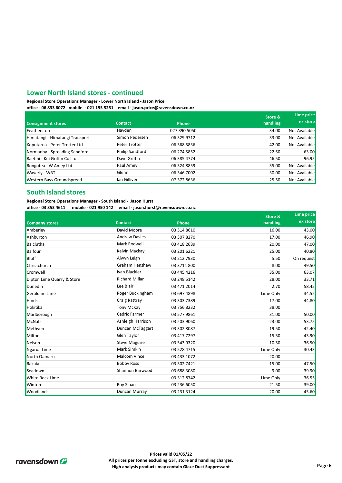#### **Lower North Island stores - continued**

**Regional Store Operations Manager - Lower North Island - Jason Price**

**office - 06 833 6072 mobile - 021 195 5251 email - jason.price@ravensdown.co.nz**

|                                 |                 |              | Store &  | Lime price    |
|---------------------------------|-----------------|--------------|----------|---------------|
| <b>Consignment stores</b>       | <b>Contact</b>  | <b>Phone</b> | handling | ex store      |
| Featherston                     | Hayden          | 027 390 5050 | 34.00    | Not Available |
| Himatangi - Himatangi Transport | Simon Pedersen  | 06 329 9712  | 33.00    | Not Available |
| Koputaroa - Peter Trotter Ltd   | Peter Trotter   | 06 368 5836  | 42.00    | Not Available |
| Normanby - Spreading Sandford   | Philip Sandford | 06 274 5852  | 22.50    | 63.00         |
| Raetihi - Kui Griffin Co Ltd    | Dave Griffin    | 06 385 4774  | 46.50    | 96.95         |
| Rongotea - W Amey Ltd           | Paul Amey       | 06 324 8859  | 35.00    | Not Available |
| Waverly - WBT                   | Glenn           | 06 346 7002  | 30.00    | Not Available |
| Western Bays Groundspread       | lan Gilliver    | 07 372 8636  | 25.50    | Not Available |

#### **South Island stores**

**Regional Store Operations Manager - South Island - Jason Hurst**

**office - 03 353 4611 mobile - 021 950 142 email - jason.hurst@ravensdown.co.nz**

| <b>Company stores</b>      |                       | <b>Phone</b> | Store &   | Lime price<br>ex store |
|----------------------------|-----------------------|--------------|-----------|------------------------|
|                            | <b>Contact</b>        |              | handling  |                        |
| Amberley                   | David Moore           | 03 314 8610  | 16.00     | 43.00                  |
| Ashburton                  | <b>Andrew Davies</b>  | 03 307 8270  | 17.00     | 46.90                  |
| Balclutha                  | Mark Rodwell          | 03 418 2689  | 20.00     | 47.00                  |
| <b>Balfour</b>             | Kelvin Mackay         | 03 201 6221  | 25.00     | 40.80                  |
| <b>Bluff</b>               | Alwyn Leigh           | 03 212 7930  | 5.50      | On request             |
| Christchurch               | Graham Henshaw        | 03 3711 800  | 8.00      | 49.50                  |
| Cromwell                   | Ivan Blackler         | 03 445 4216  | 35.00     | 63.07                  |
| Dipton Lime Quarry & Store | <b>Richard Millar</b> | 03 248 5142  | 28.00     | 33.71                  |
| Dunedin                    | Lee Blair             | 03 471 2014  | 2.70      | 58.45                  |
| Geraldine Lime             | Roger Buckingham      | 03 697 4898  | Lime Only | 34.52                  |
| <b>Hinds</b>               | Craig Rattray         | 03 303 7389  | 17.00     | 44.80                  |
| Hokitika                   | <b>Tony McKay</b>     | 03 756 8232  | 38.00     |                        |
| Marlborough                | Cedric Farmer         | 03 577 9861  | 31.00     | 50.00                  |
| McNab                      | Ashleigh Harrison     | 03 203 9060  | 23.00     | 53.75                  |
| Methven                    | Duncan McTaggart      | 03 302 8087  | 19.50     | 42.40                  |
| Milton                     | Glen Taylor           | 03 417 7297  | 15.50     | 43.90                  |
| Nelson                     | <b>Steve Maguire</b>  | 03 543 9320  | 10.50     | 36.50                  |
| Ngarua Lime                | Mark Simkin           | 03 528 4715  | Lime Only | 30.43                  |
| North Oamaru               | <b>Malcom Vince</b>   | 03 433 1072  | 20.00     |                        |
| Rakaia                     | <b>Bobby Ross</b>     | 03 302 7421  | 15.00     | 47.50                  |
| Seadown                    | Shannon Barwood       | 03 688 3080  | 9.00      | 39.90                  |
| <b>White Rock Lime</b>     |                       | 03 312 8742  | Lime Only | 36.55                  |
| Winton                     | Roy Sloan             | 03 236 6050  | 21.50     | 39.00                  |
| Woodlands                  | Duncan Murray         | 03 231 3124  | 20.00     | 45.60                  |

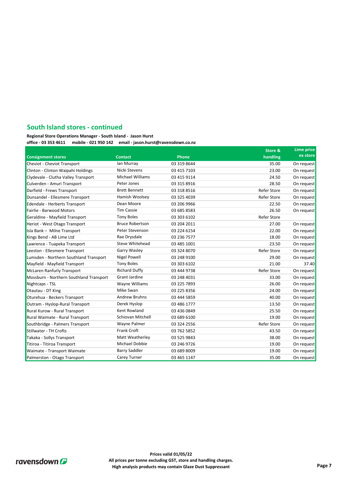#### **South Island stores - continued**

**Regional Store Operations Manager - South Island - Jason Hurst**

**office - 03 353 4611 mobile - 021 950 142 email - jason.hurst@ravensdown.co.nz Lime price ex store** Cheviot - Cheviot Transport **12 August 2012** Lan Murray 103 319 8644 2013 19 35.00 On request Clinton - Clinton Waipahi Holdings 03 415 7103 23.00 On request Clydevale - Clutha Valley Transport 03 415 9114 24.50 On request Culverden - Amuri Transport 03 315 8916 28.50 On request Darfield - Frews Transport **12 Access 20 318 8516** Darfield - Refer Store On request Dunsandel - Ellesmere Transport **Construents Hamish Woolsey 03 325 4039** Meter Store On request Edendale - Herberts Transport **12 200 200 103 200 200 200 200 200 200 2**2.50 On request Fairlie - Barwood Motors 03 685 8583 26.50 On request Geraldine - Mayfield Transport Tony Boles 03 303 6102 Refer Store Heriot - West Otago Transport **12.1 Access 27.00** On request CHS 27.00 On request Isla Bank – Milne Transport **120 Contact Contact Contact Contact Contact Contact Contact Contact Contact Contact Contact Contact Contact Contact Contact Contact Contact Contact Contact Contact Contact Contact Contact Conta** Kings Bend - AB Lime Ltd **Container Container Container Container Container Container Container Container Container** Container Container Container Container Container Container Container Container Container Container Conta Lawrence - Tuapeka Transport 03 485 1001 23.50 On request Leeston - Ellesmere Transport **Carry Community Community Community** Community Community Community Community Communi Lumsden - Northern Southland Transport 03 248 9100 29.00 On request Mayfield - Mayfield Transport **12 11.00** 21.40 21.40 21.40 21.40 21.40 21.40 21.40 McLaren Ranfurly Transport **Michary Richard Duffy 03 444 9738** Refer Store On request Mossburn - Northern Southland Transport Grant Jardine 03 248 4031 33.00 On request Nightcaps - TSL **26.00** 26.00 Character Change Community Value Williams 26.00 Community Value Community Value Community Value Community Value Community Value Community Value Community Value Community Value Community Value Otautau - DT King Communication Communication Communication Communication Communication Communication Communication Communication Communication Communication Communication Communication Communication Communication Communic Oturehua - Beckers Transport 03 444 5859 40.00 On request Outram - Hyslop-Rural Transport **13.50** Derek Hyslop **03 486 1777** 13.50 On request Rural Kurow - Rural Transport **125 Access 25 Access 25 Access 25 Access 25 Access 25 Access 25.50** On request Rural Waimate - Rural Transport **19.00** Conservative of Schiovan Mitchell **19.00** 03 689 6100 19.00 On request Southbridge - Palmers Transport Wayne Palmer 03 324 2556 Refer Store On request Stillwater - TH Crofts 03 762 5852 43.50 On request Takaka - Sollys Transport **12 Start Start Action** Matt Weatherley **138.00** On request 138.00 On request Titiroa - Titiroa Transport Christianus - Michael Dobbie 19.00 Domington - Christianus - Christianus - Michael Dobbie 19.00 On request Waimate - Transport Waimate **19.00 Community** Barry Saddler **19.00 Community 19.00 Community** Community Barry Saddler Palmerston - Otago Transport **12 Cased Carey Turner** 103 465 1147 12 135.00 On request **Store & Phone handling** Wayne Williams Bruce Robertson Peter Stevenson Rae Drysdale Tony Boles Matt Weatherley Michael Dobbie Steve Whitehead Garry Wasley Michael Williams Peter Jones Brett Bennett Hamish Woolsey **Consignment stores Contact** Ian Murray Nicki Stevens Nigel Powell Tony Boles Grant Jardine Schiovan Mitchell Dean Moore Tim Cassie Carey Turner Mike Swan Andrew Bruhns Derek Hyslop Richard Duffy Wayne Palmer Frank Croft Barry Saddler Kent Rowland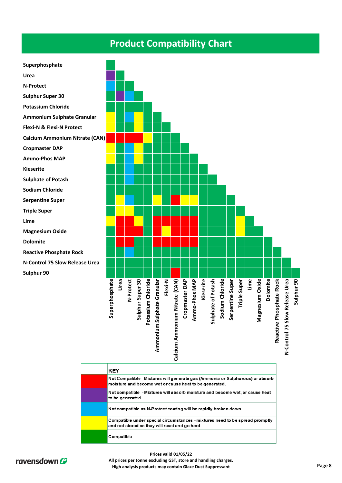## **Product Compatibility Chart**



|  | <b>KEY</b>                                                                                                                              |  |
|--|-----------------------------------------------------------------------------------------------------------------------------------------|--|
|  | Not Compatible - Mixtures will generate gas (Ammonia or Sulphurous) or absorb<br>moisture and become wet or cause heat to be generated. |  |
|  | Not compatible - Mixtures will absorb moisture and become wet, or cause heat<br>to be generated.                                        |  |
|  | Not compatible as N-Protect coating will be rapidly broken down.                                                                        |  |
|  | Compatible under special circumstances - mixtures need to be spread promptly<br>and not stored as they will react and go hard.          |  |
|  | Compatible                                                                                                                              |  |



**Prices valid 01/05/22 All prices per tonne excluding GST, store and handling charges. High analysis products may contain Glaze Dust Suppressant Page 8**